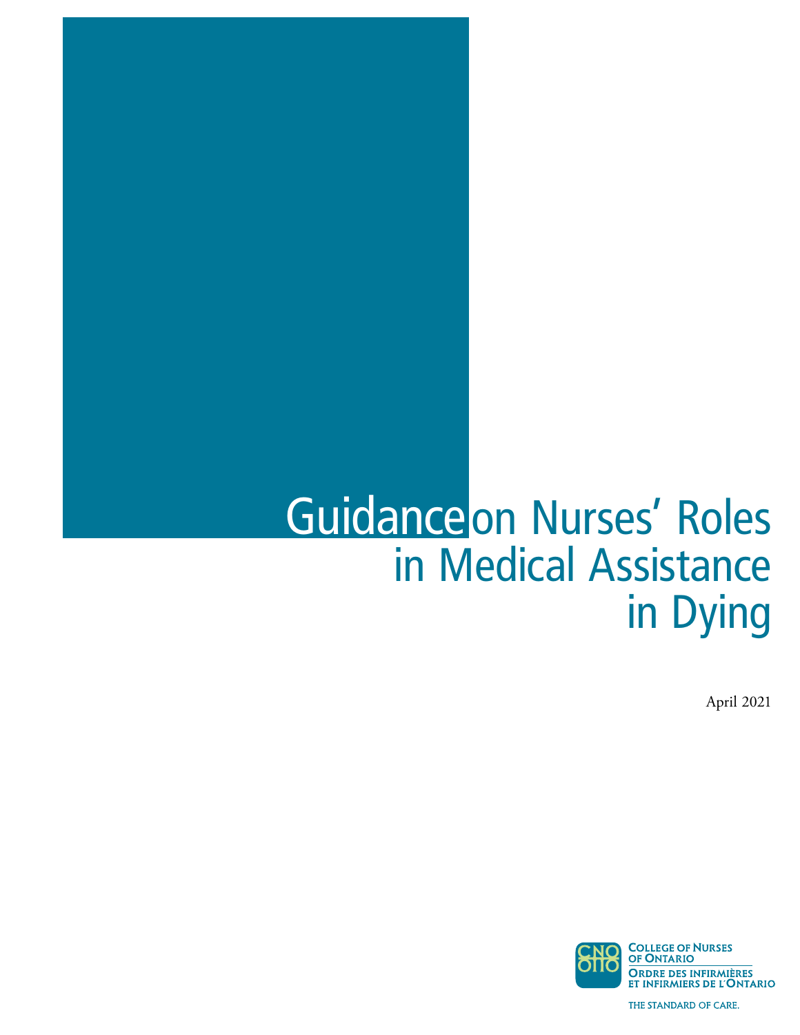# Guidance on Nurses' Roles in Medical Assistance in Dying

April 2021

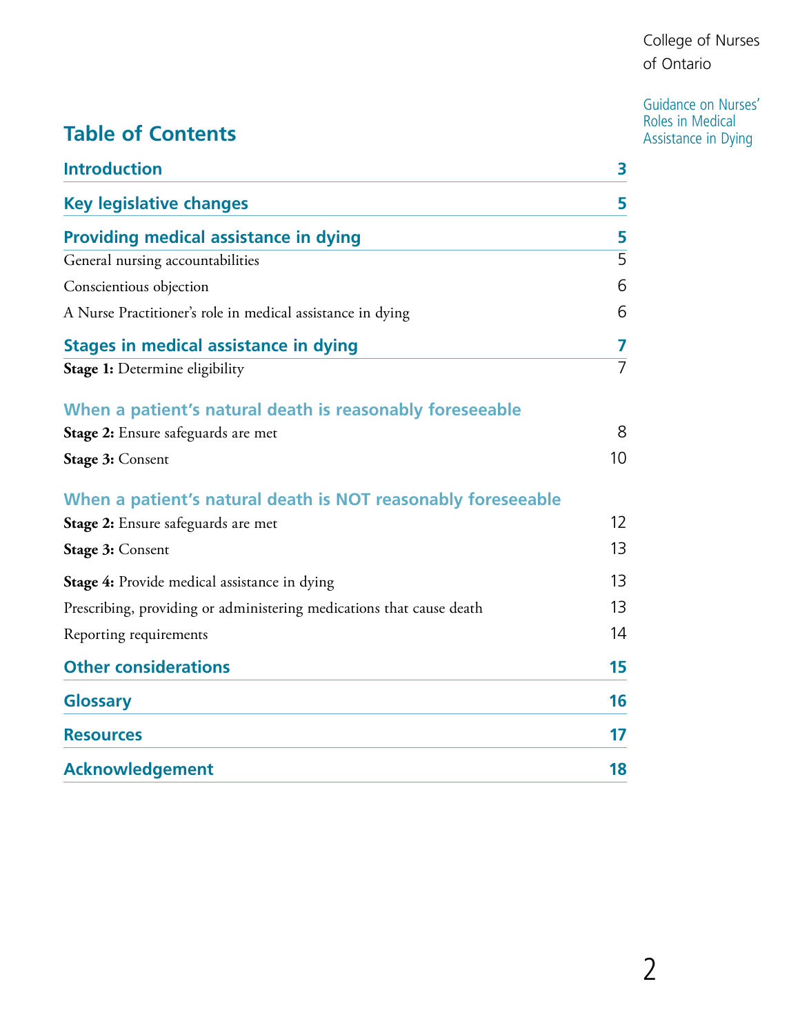# Guidance on Nurses'<br>Roles in Medical

# **Table of Contents**<br> **Table of Contents**

| <b>Introduction</b>                                                  | 3                 |
|----------------------------------------------------------------------|-------------------|
| <b>Key legislative changes</b>                                       | 5                 |
| <b>Providing medical assistance in dying</b>                         | 5                 |
| General nursing accountabilities                                     | $\overline{5}$    |
| Conscientious objection                                              | 6                 |
| A Nurse Practitioner's role in medical assistance in dying           | 6                 |
| <b>Stages in medical assistance in dying</b>                         | 7                 |
| Stage 1: Determine eligibility                                       | $\overline{7}$    |
| When a patient's natural death is reasonably foreseeable             |                   |
| Stage 2: Ensure safeguards are met                                   | 8                 |
| Stage 3: Consent                                                     | 10 <sup>°</sup>   |
| When a patient's natural death is NOT reasonably foreseeable         |                   |
| Stage 2: Ensure safeguards are met                                   | $12 \overline{ }$ |
| Stage 3: Consent                                                     | 13                |
| <b>Stage 4:</b> Provide medical assistance in dying                  | 13                |
| Prescribing, providing or administering medications that cause death | 13                |
| Reporting requirements                                               | 14                |
| <b>Other considerations</b>                                          | 15                |
| <b>Glossary</b>                                                      | 16                |
| <b>Resources</b>                                                     | 17                |
| <b>Acknowledgement</b>                                               | 18                |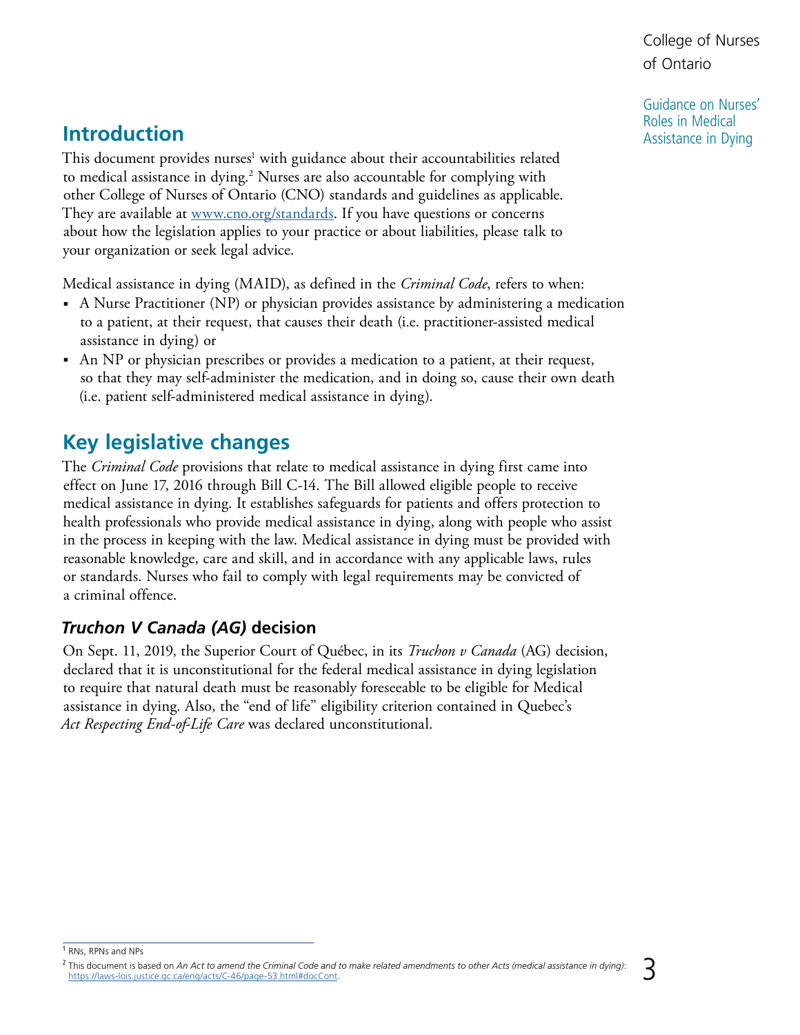Guidance on Nurses' Roles in Medical Assistance in Dying

## <span id="page-2-1"></span><span id="page-2-0"></span>**Introduction**

This document provides nurses<sup>1</sup> with guidance about their accountabilities related to medical assistance in dying.<sup>2</sup> Nurses are also accountable for complying with other College of Nurses of Ontario (CNO) standards and guidelines as applicable. They are available at <u>www.cno.org/standards</u>. If you have questions or concerns about how the legislation applies to your practice or about liabilities, please talk to your organization or seek legal advice.

Medical assistance in dying (MAID), as defined in the *Criminal Code*, refers to when:

- A Nurse Practitioner (NP) or physician provides assistance by administering a medication to a patient, at their request, that causes their death (i.e. practitioner-assisted medical assistance in dying) or
- An NP or physician prescribes or provides a medication to a patient, at their request, so that they may self-administer the medication, and in doing so, cause their own death (i.e. patient self-administered medical assistance in dying).

# **Key legislative changes**

The *Criminal Code* provisions that relate to medical assistance in dying first came into effect on June 17, 2016 through Bill C-14. The Bill allowed eligible people to receive medical assistance in dying. It establishes safeguards for patients and offers protection to health professionals who provide medical assistance in dying, along with people who assist in the process in keeping with the law. Medical assistance in dying must be provided with reasonable knowledge, care and skill, and in accordance with any applicable laws, rules or standards. Nurses who fail to comply with legal requirements may be convicted of a criminal offence.

## *Truchon V Canada (AG)* **decision**

 assistance in dying. Also, the "end of life" eligibility criterion contained in Quebec's On Sept. 11, 2019, the Superior Court of Québec, in its *Truchon v Canada* (AG) decision, declared that it is unconstitutional for the federal medical assistance in dying legislation to require that natural death must be reasonably foreseeable to be eligible for Medical *Act Respecting End-of-Life Care* was declared unconstitutional.

<sup>1</sup> RNs, RPNs and NPs

<sup>&</sup>lt;sup>2</sup> This document is based on *An Act to amend the Criminal Code and to make related amendments to other Acts (medical assistance in dying):<br><https://laws-lois.justice.gc.ca/eng/acts/C-46/page-53.html#docCont>.*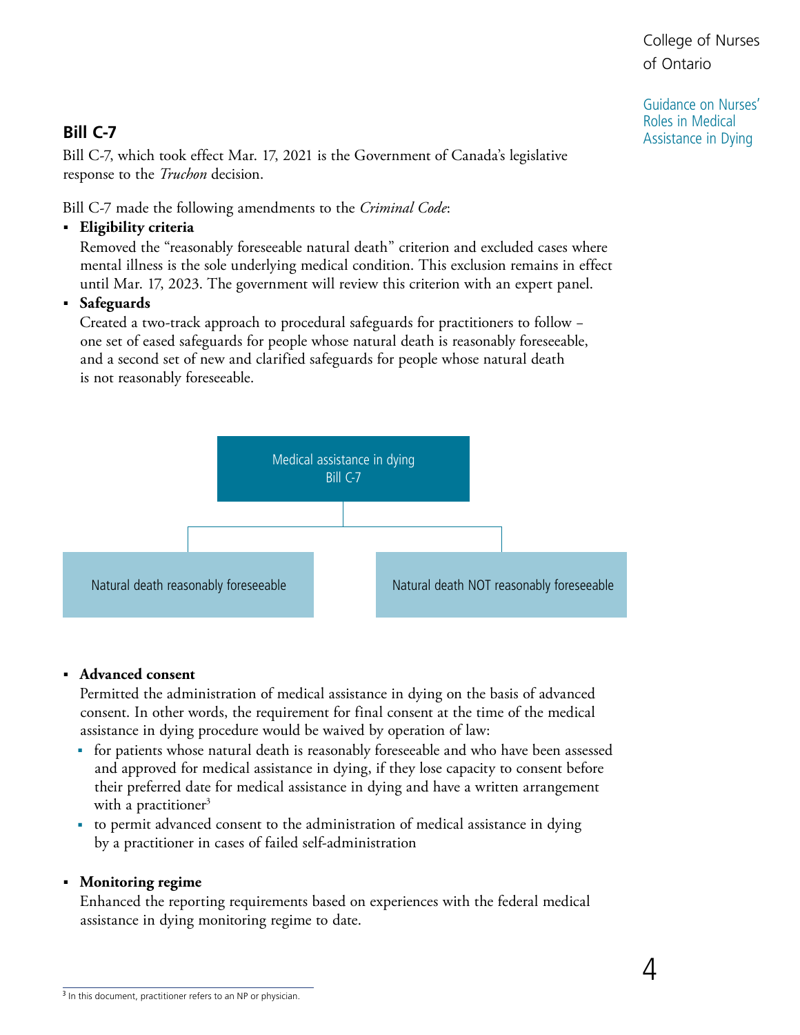Guidance on Nurses' Roles in Medical Assistance in Dying

## **Bill C-7**

Bill C-7, which took effect Mar. 17, 2021 is the Government of Canada's legislative response to the *Truchon* decision.

Bill C-7 made the following amendments to the *Criminal Code*:

■ **Eligibility criteria**

Removed the "reasonably foreseeable natural death" criterion and excluded cases where mental illness is the sole underlying medical condition. This exclusion remains in effect until Mar. 17, 2023. The government will review this criterion with an expert panel.

Safeguards

Created a two-track approach to procedural safeguards for practitioners to follow − one set of eased safeguards for people whose natural death is reasonably foreseeable, and a second set of new and clarified safeguards for people whose natural death is not reasonably foreseeable.



#### ■ **Advanced consent**

Permitted the administration of medical assistance in dying on the basis of advanced consent. In other words, the requirement for final consent at the time of the medical assistance in dying procedure would be waived by operation of law:

- for patients whose natural death is reasonably foreseeable and who have been assessed and approved for medical assistance in dying, if they lose capacity to consent before their preferred date for medical assistance in dying and have a written arrangement with a practitioner<sup>3</sup>
- to permit advanced consent to the administration of medical assistance in dying by a practitioner in cases of failed self-administration

#### ■ **Monitoring regime**

Enhanced the reporting requirements based on experiences with the federal medical assistance in dying monitoring regime to date.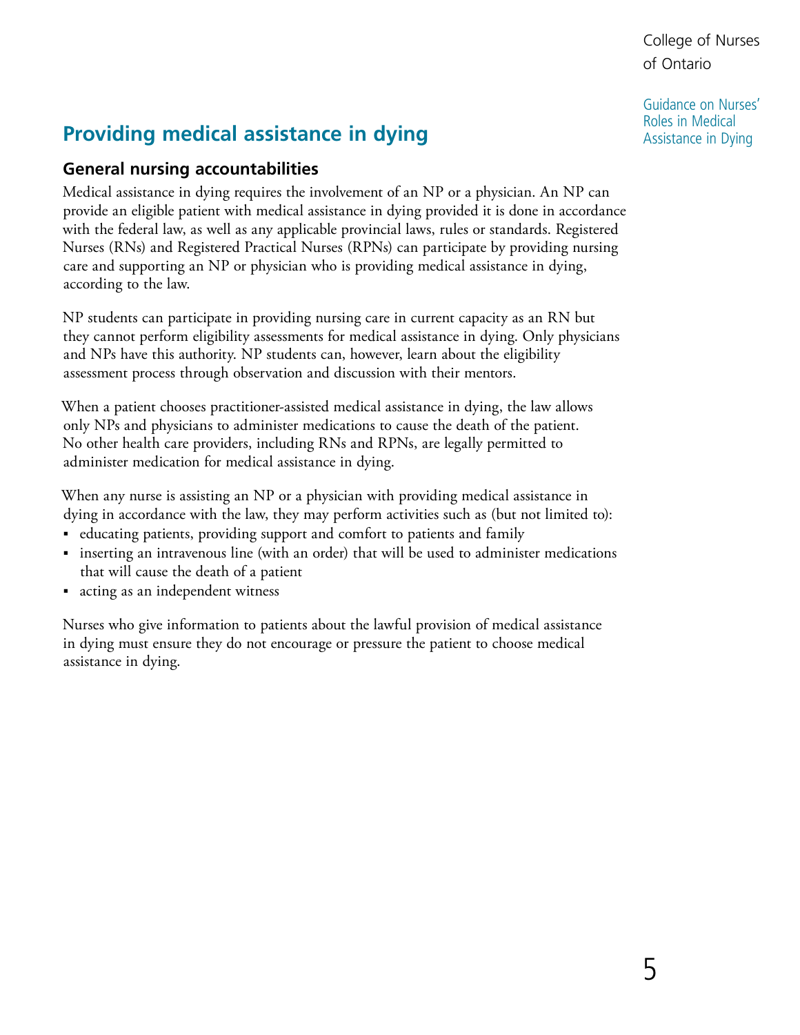Guidance on Nurses' Roles in Medical Assistance in Dying

# <span id="page-4-0"></span>**Providing medical assistance in dying**

#### **General nursing accountabilities**

Medical assistance in dying requires the involvement of an NP or a physician. An NP can provide an eligible patient with medical assistance in dying provided it is done in accordance with the federal law, as well as any applicable provincial laws, rules or standards. Registered Nurses (RNs) and Registered Practical Nurses (RPNs) can participate by providing nursing care and supporting an NP or physician who is providing medical assistance in dying, according to the law.

NP students can participate in providing nursing care in current capacity as an RN but they cannot perform eligibility assessments for medical assistance in dying. Only physicians and NPs have this authority. NP students can, however, learn about the eligibility assessment process through observation and discussion with their mentors.

When a patient chooses practitioner-assisted medical assistance in dying, the law allows only NPs and physicians to administer medications to cause the death of the patient. No other health care providers, including RNs and RPNs, are legally permitted to administer medication for medical assistance in dying.

When any nurse is assisting an NP or a physician with providing medical assistance in dying in accordance with the law, they may perform activities such as (but not limited to):

- educating patients, providing support and comfort to patients and family
- ■ inserting an intravenous line (with an order) that will be used to administer medications that will cause the death of a patient
- acting as an independent witness

Nurses who give information to patients about the lawful provision of medical assistance in dying must ensure they do not encourage or pressure the patient to choose medical assistance in dying.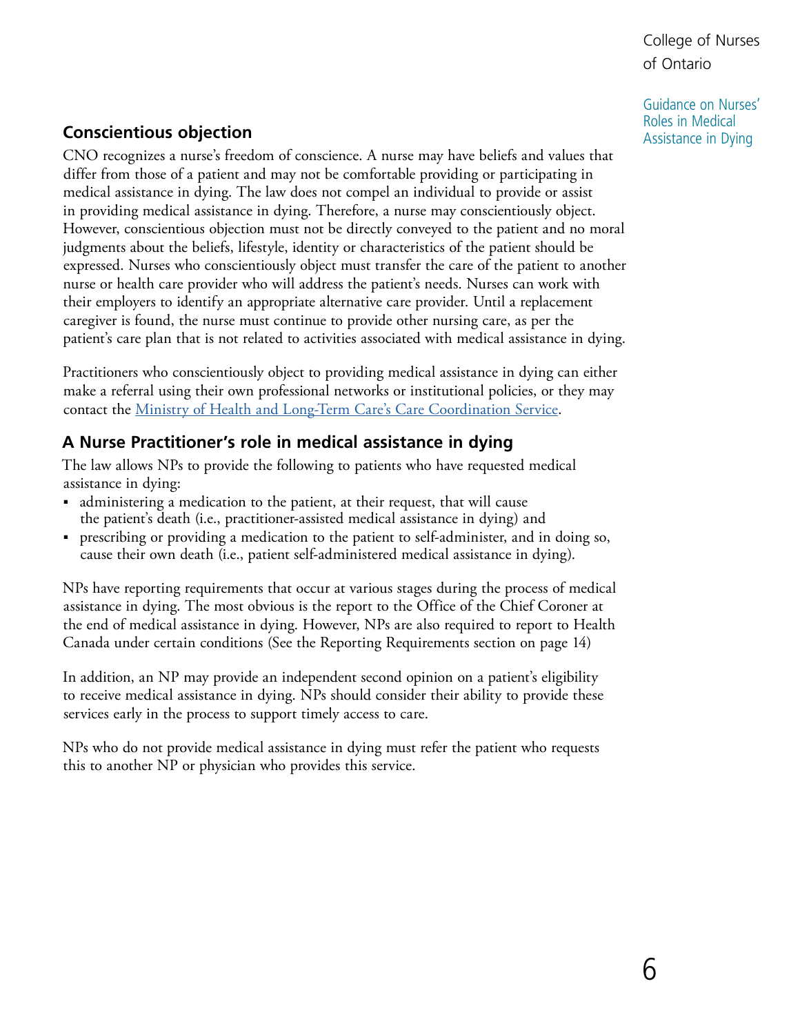Guidance on Nurses' Roles in Medical Assistance in Dying

## <span id="page-5-0"></span>**Conscientious objection**

CNO recognizes a nurse's freedom of conscience. A nurse may have beliefs and values that differ from those of a patient and may not be comfortable providing or participating in medical assistance in dying. The law does not compel an individual to provide or assist in providing medical assistance in dying. Therefore, a nurse may conscientiously object. However, conscientious objection must not be directly conveyed to the patient and no moral judgments about the beliefs, lifestyle, identity or characteristics of the patient should be expressed. Nurses who conscientiously object must transfer the care of the patient to another nurse or health care provider who will address the patient's needs. Nurses can work with their employers to identify an appropriate alternative care provider. Until a replacement caregiver is found, the nurse must continue to provide other nursing care, as per the patient's care plan that is not related to activities associated with medical assistance in dying.

Practitioners who conscientiously object to providing medical assistance in dying can either make a referral using their own professional networks or institutional policies, or they may contact the [Ministry of Health and Long-Term Care's Care Coordination Service](http://www.health.gov.on.ca/en/pro/programs/maid/#objection).

#### **A Nurse Practitioner's role in medical assistance in dying**

The law allows NPs to provide the following to patients who have requested medical assistance in dying:

- administering a medication to the patient, at their request, that will cause the patient's death (i.e., practitioner-assisted medical assistance in dying) and
- prescribing or providing a medication to the patient to self-administer, and in doing so, cause their own death (i.e., patient self-administered medical assistance in dying).

NPs have reporting requirements that occur at various stages during the process of medical assistance in dying. The most obvious is the report to the Office of the Chief Coroner at the end of medical assistance in dying. However, NPs are also required to report to Health Canada under certain conditions (See the Reporting Requirements section on page 14)

In addition, an NP may provide an independent second opinion on a patient's eligibility to receive medical assistance in dying. NPs should consider their ability to provide these services early in the process to support timely access to care.

NPs who do not provide medical assistance in dying must refer the patient who requests this to another NP or physician who provides this service.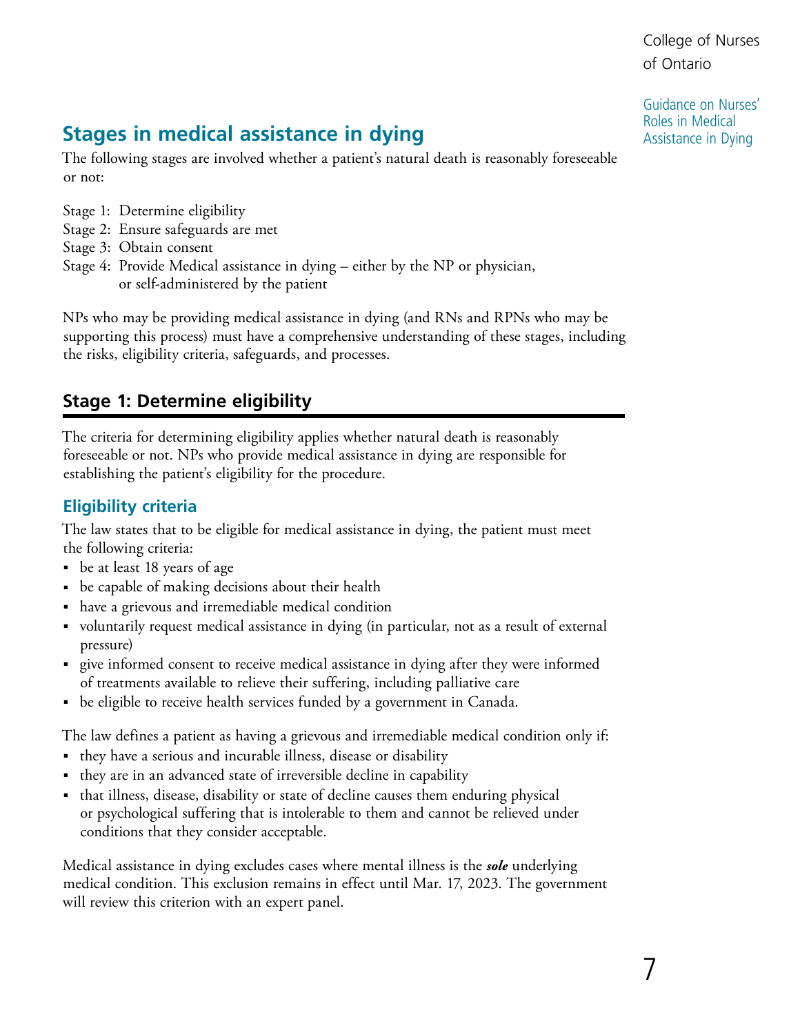Guidance on Nurses' Roles in Medical Assistance in Dying

# <span id="page-6-0"></span>**Stages in medical assistance in dying**

The following stages are involved whether a patient's natural death is reasonably foreseeable or not:

- Stage 1: Determine eligibility
- Stage 2: Ensure safeguards are met
- Stage 3: Obtain consent
- Stage 4: Provide Medical assistance in dying either by the NP or physician, or self-administered by the patient

NPs who may be providing medical assistance in dying (and RNs and RPNs who may be supporting this process) must have a comprehensive understanding of these stages, including the risks, eligibility criteria, safeguards, and processes.

## **Stage 1: Determine eligibility**

The criteria for determining eligibility applies whether natural death is reasonably foreseeable or not. NPs who provide medical assistance in dying are responsible for establishing the patient's eligibility for the procedure.

## **Eligibility criteria**

The law states that to be eligible for medical assistance in dying, the patient must meet the following criteria:

- be at least 18 years of age
- be capable of making decisions about their health
- have a grievous and irremediable medical condition
- voluntarily request medical assistance in dying (in particular, not as a result of external pressure)
- ■ give informed consent to receive medical assistance in dying after they were informed of treatments available to relieve their suffering, including palliative care
- be eligible to receive health services funded by a government in Canada.

The law defines a patient as having a grievous and irremediable medical condition only if:

- they have a serious and incurable illness, disease or disability
- they are in an advanced state of irreversible decline in capability
- that illness, disease, disability or state of decline causes them enduring physical or psychological suffering that is intolerable to them and cannot be relieved under conditions that they consider acceptable.

Medical assistance in dying excludes cases where mental illness is the *sole* underlying medical condition. This exclusion remains in effect until Mar. 17, 2023. The government will review this criterion with an expert panel.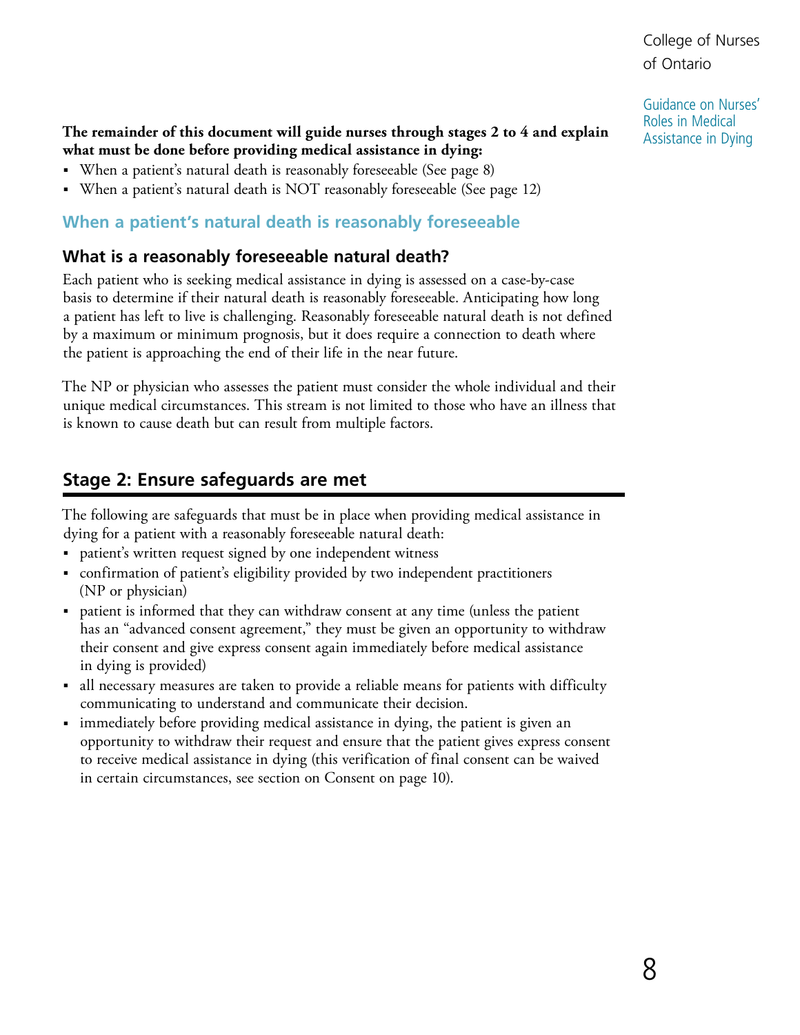Guidance on Nurses' Roles in Medical Assistance in Dying

#### <span id="page-7-1"></span><span id="page-7-0"></span>**The remainder of this document will guide nurses through stages 2 to 4 and explain what must be done before providing medical assistance in dying:**

- When a patient's natural death is reasonably foreseeable (See page 8)
- When a patient's natural death is NOT reasonably foreseeable (See page 12)

#### **When a patient's natural death is reasonably foreseeable**

#### **What is a reasonably foreseeable natural death?**

Each patient who is seeking medical assistance in dying is assessed on a case-by-case basis to determine if their natural death is reasonably foreseeable. Anticipating how long a patient has left to live is challenging. Reasonably foreseeable natural death is not defined by a maximum or minimum prognosis, but it does require a connection to death where the patient is approaching the end of their life in the near future.

The NP or physician who assesses the patient must consider the whole individual and their unique medical circumstances. This stream is not limited to those who have an illness that is known to cause death but can result from multiple factors.

## **Stage 2: Ensure safeguards are met**

The following are safeguards that must be in place when providing medical assistance in dying for a patient with a reasonably foreseeable natural death:

- patient's written request signed by one independent witness
- confirmation of patient's eligibility provided by two independent practitioners (NP or physician)
- patient is informed that they can withdraw consent at any time (unless the patient has an "advanced consent agreement," they must be given an opportunity to withdraw their consent and give express consent again immediately before medical assistance in dying is provided)
- all necessary measures are taken to provide a reliable means for patients with difficulty communicating to understand and communicate their decision.
- immediately before providing medical assistance in dying, the patient is given an opportunity to withdraw their request and ensure that the patient gives express consent to receive medical assistance in dying (this verification of final consent can be waived in certain circumstances, see section on Consent on page 10).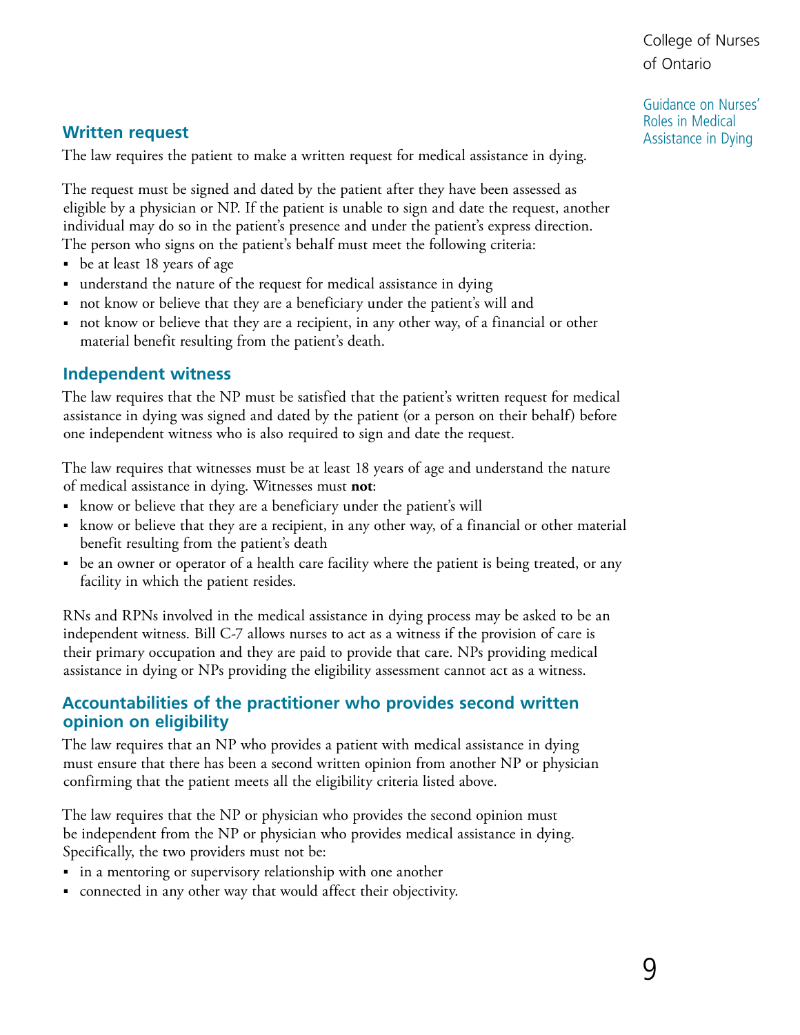Guidance on Nurses' Roles in Medical Assistance in Dying

#### **Written request**

The law requires the patient to make a written request for medical assistance in dying.

The request must be signed and dated by the patient after they have been assessed as eligible by a physician or NP. If the patient is unable to sign and date the request, another individual may do so in the patient's presence and under the patient's express direction. The person who signs on the patient's behalf must meet the following criteria:

- be at least 18 years of age
- understand the nature of the request for medical assistance in dying
- not know or believe that they are a beneficiary under the patient's will and
- not know or believe that they are a recipient, in any other way, of a financial or other material benefit resulting from the patient's death.

#### **Independent witness**

The law requires that the NP must be satisfied that the patient's written request for medical assistance in dying was signed and dated by the patient (or a person on their behalf) before one independent witness who is also required to sign and date the request.

The law requires that witnesses must be at least 18 years of age and understand the nature of medical assistance in dying. Witnesses must **not**:

- ■ know or believe that they are a beneficiary under the patient's will
- know or believe that they are a recipient, in any other way, of a financial or other material benefit resulting from the patient's death
- be an owner or operator of a health care facility where the patient is being treated, or any facility in which the patient resides.

RNs and RPNs involved in the medical assistance in dying process may be asked to be an independent witness. Bill C-7 allows nurses to act as a witness if the provision of care is their primary occupation and they are paid to provide that care. NPs providing medical assistance in dying or NPs providing the eligibility assessment cannot act as a witness.

#### **Accountabilities of the practitioner who provides second written opinion on eligibility**

The law requires that an NP who provides a patient with medical assistance in dying must ensure that there has been a second written opinion from another NP or physician confirming that the patient meets all the eligibility criteria listed above.

The law requires that the NP or physician who provides the second opinion must be independent from the NP or physician who provides medical assistance in dying. Specifically, the two providers must not be:

- in a mentoring or supervisory relationship with one another
- connected in any other way that would affect their objectivity.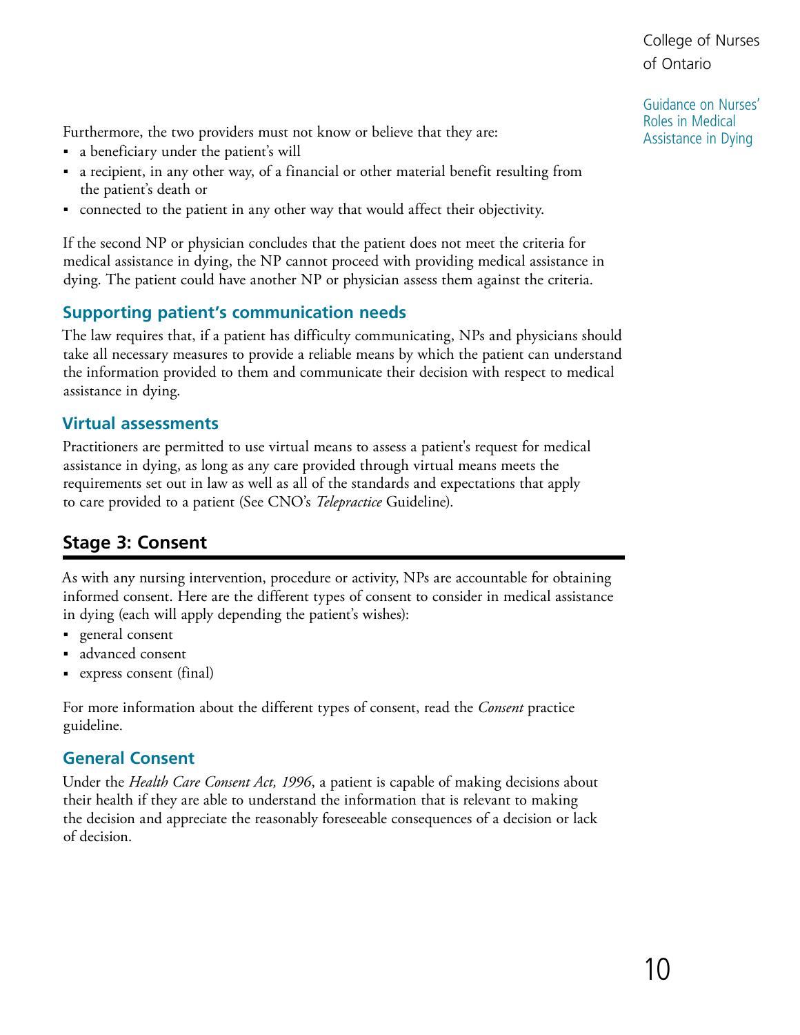Guidance on Nurses' Roles in Medical Assistance in Dying

<span id="page-9-0"></span>Furthermore, the two providers must not know or believe that they are:

- ■ a beneficiary under the patient's will
- a recipient, in any other way, of a financial or other material benefit resulting from the patient's death or
- connected to the patient in any other way that would affect their objectivity.

If the second NP or physician concludes that the patient does not meet the criteria for medical assistance in dying, the NP cannot proceed with providing medical assistance in dying. The patient could have another NP or physician assess them against the criteria.

#### **Supporting patient's communication needs**

The law requires that, if a patient has difficulty communicating, NPs and physicians should take all necessary measures to provide a reliable means by which the patient can understand the information provided to them and communicate their decision with respect to medical assistance in dying.

#### **Virtual assessments**

Practitioners are permitted to use virtual means to assess a patient's request for medical assistance in dying, as long as any care provided through virtual means meets the requirements set out in law as well as all of the standards and expectations that apply to care provided to a patient (See CNO's *Telepractice* Guideline).

## **Stage 3: Consent**

As with any nursing intervention, procedure or activity, NPs are accountable for obtaining informed consent. Here are the different types of consent to consider in medical assistance in dying (each will apply depending the patient's wishes):

- general consent
- advanced consent
- ■ express consent (final)

For more information about the different types of consent, read the *Consent* practice guideline.

#### **General Consent**

Under the *Health Care Consent Act, 1996*, a patient is capable of making decisions about their health if they are able to understand the information that is relevant to making the decision and appreciate the reasonably foreseeable consequences of a decision or lack of decision.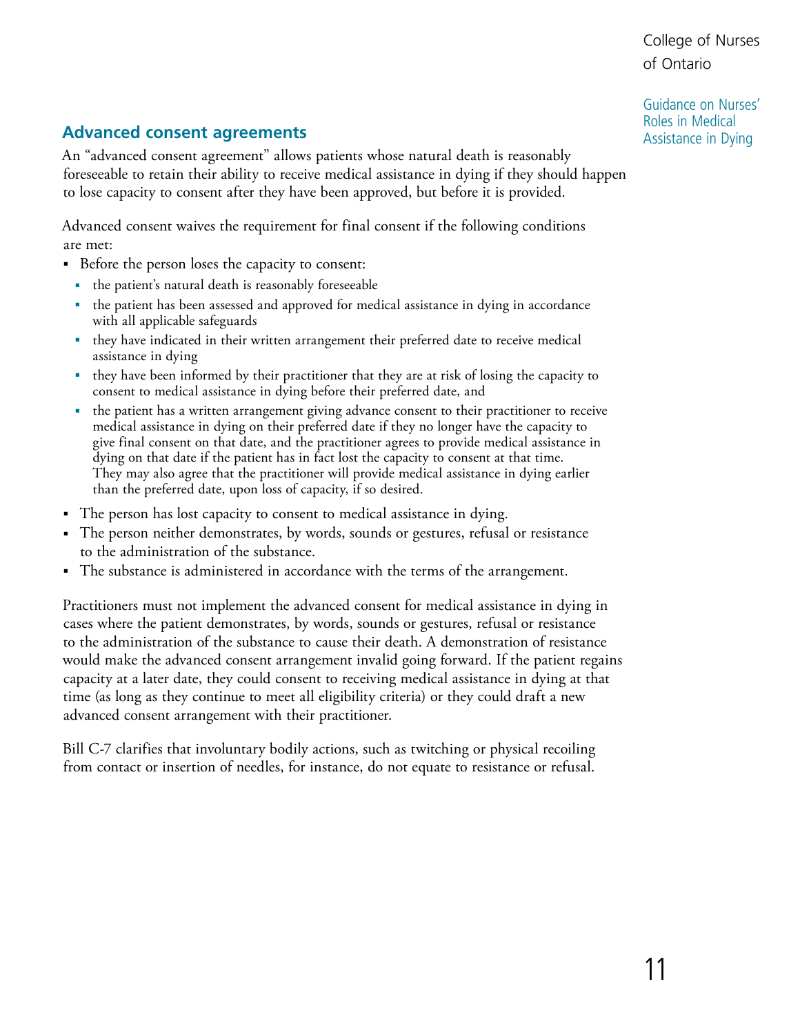Guidance on Nurses' Roles in Medical Assistance in Dying

## **Advanced consent agreements**

An "advanced consent agreement" allows patients whose natural death is reasonably foreseeable to retain their ability to receive medical assistance in dying if they should happen to lose capacity to consent after they have been approved, but before it is provided.

Advanced consent waives the requirement for final consent if the following conditions are met:

- Before the person loses the capacity to consent:
	- the patient's natural death is reasonably foreseeable
	- the patient has been assessed and approved for medical assistance in dying in accordance with all applicable safeguards
	- they have indicated in their written arrangement their preferred date to receive medical assistance in dying
	- they have been informed by their practitioner that they are at risk of losing the capacity to consent to medical assistance in dying before their preferred date, and
	- the patient has a written arrangement giving advance consent to their practitioner to receive medical assistance in dying on their preferred date if they no longer have the capacity to give final consent on that date, and the practitioner agrees to provide medical assistance in dying on that date if the patient has in fact lost the capacity to consent at that time. They may also agree that the practitioner will provide medical assistance in dying earlier than the preferred date, upon loss of capacity, if so desired.
- The person has lost capacity to consent to medical assistance in dying.
- The person neither demonstrates, by words, sounds or gestures, refusal or resistance to the administration of the substance.
- The substance is administered in accordance with the terms of the arrangement.

Practitioners must not implement the advanced consent for medical assistance in dying in cases where the patient demonstrates, by words, sounds or gestures, refusal or resistance to the administration of the substance to cause their death. A demonstration of resistance would make the advanced consent arrangement invalid going forward. If the patient regains capacity at a later date, they could consent to receiving medical assistance in dying at that time (as long as they continue to meet all eligibility criteria) or they could draft a new advanced consent arrangement with their practitioner.

Bill C-7 clarifies that involuntary bodily actions, such as twitching or physical recoiling from contact or insertion of needles, for instance, do not equate to resistance or refusal.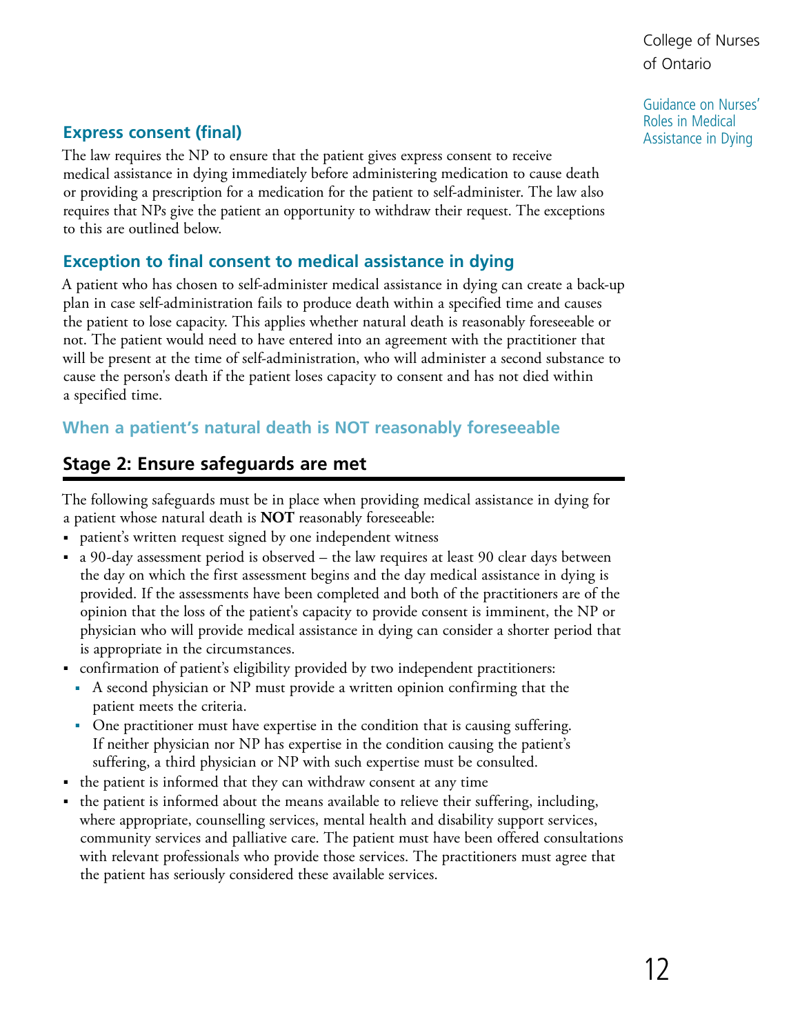Guidance on Nurses' Roles in Medical Assistance in Dying

### <span id="page-11-1"></span><span id="page-11-0"></span>**Express consent (final)**

The law requires the NP to ensure that the patient gives express consent to receive medical assistance in dying immediately before administering medication to cause death or providing a prescription for a medication for the patient to self-administer. The law also requires that NPs give the patient an opportunity to withdraw their request. The exceptions to this are outlined below.

#### **Exception to final consent to medical assistance in dying**

A patient who has chosen to self-administer medical assistance in dying can create a back-up plan in case self-administration fails to produce death within a specified time and causes the patient to lose capacity. This applies whether natural death is reasonably foreseeable or not. The patient would need to have entered into an agreement with the practitioner that will be present at the time of self-administration, who will administer a second substance to cause the person's death if the patient loses capacity to consent and has not died within a specified time.

#### **When a patient's natural death is NOT reasonably foreseeable**

#### **Stage 2: Ensure safeguards are met**

The following safeguards must be in place when providing medical assistance in dying for a patient whose natural death is **NOT** reasonably foreseeable:

- patient's written request signed by one independent witness
- a 90-day assessment period is observed the law requires at least 90 clear days between the day on which the first assessment begins and the day medical assistance in dying is provided. If the assessments have been completed and both of the practitioners are of the opinion that the loss of the patient's capacity to provide consent is imminent, the NP or physician who will provide medical assistance in dying can consider a shorter period that is appropriate in the circumstances.
- confirmation of patient's eligibility provided by two independent practitioners:
	- A second physician or NP must provide a written opinion confirming that the patient meets the criteria.
	- One practitioner must have expertise in the condition that is causing suffering. If neither physician nor NP has expertise in the condition causing the patient's suffering, a third physician or NP with such expertise must be consulted.
- the patient is informed that they can withdraw consent at any time
- the patient is informed about the means available to relieve their suffering, including, where appropriate, counselling services, mental health and disability support services, community services and palliative care. The patient must have been offered consultations with relevant professionals who provide those services. The practitioners must agree that the patient has seriously considered these available services.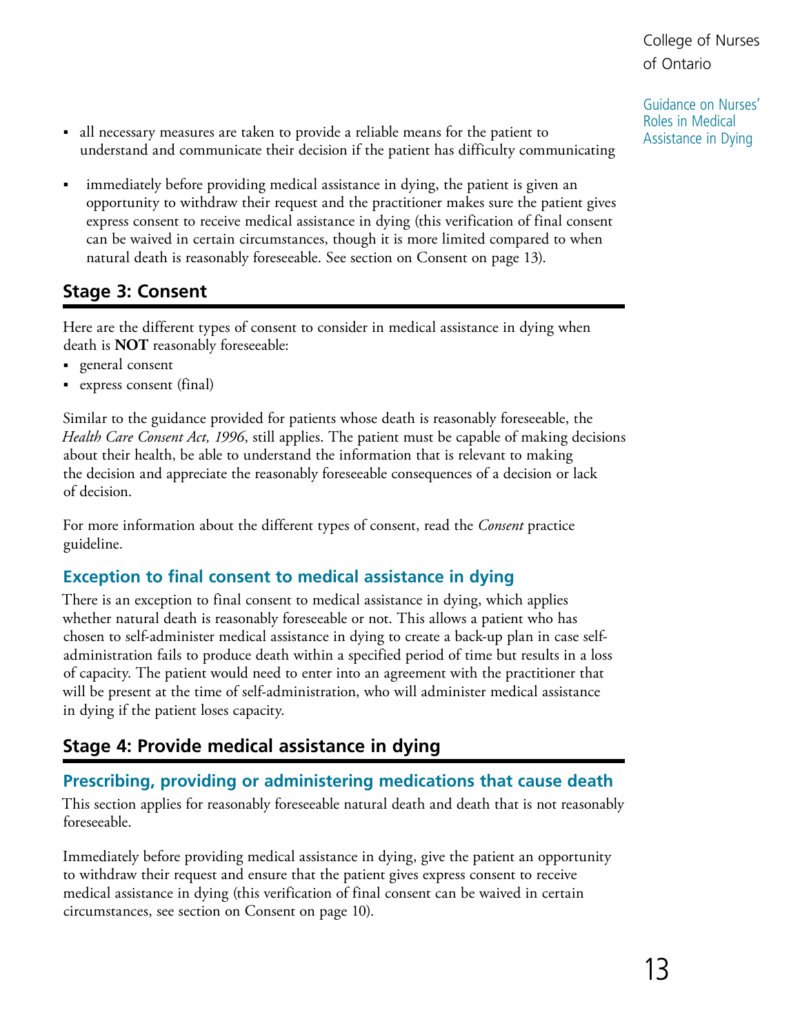Guidance on Nurses' Roles in Medical Assistance in Dying

- <span id="page-12-0"></span>■ all necessary measures are taken to provide a reliable means for the patient to understand and communicate their decision if the patient has difficulty communicating
- immediately before providing medical assistance in dying, the patient is given an opportunity to withdraw their request and the practitioner makes sure the patient gives express consent to receive medical assistance in dying (this verification of final consent can be waived in certain circumstances, though it is more limited compared to when natural death is reasonably foreseeable. See section on Consent on page 13).

## **Stage 3: Consent**

Here are the different types of consent to consider in medical assistance in dying when death is **NOT** reasonably foreseeable:

- general consent
- ■ express consent (final)

Similar to the guidance provided for patients whose death is reasonably foreseeable, the *Health Care Consent Act, 1996*, still applies. The patient must be capable of making decisions about their health, be able to understand the information that is relevant to making the decision and appreciate the reasonably foreseeable consequences of a decision or lack of decision.

For more information about the different types of consent, read the *Consent* practice guideline.

#### **Exception to final consent to medical assistance in dying**

There is an exception to final consent to medical assistance in dying, which applies whether natural death is reasonably foreseeable or not. This allows a patient who has chosen to self-administer medical assistance in dying to create a back-up plan in case selfadministration fails to produce death within a specified period of time but results in a loss of capacity. The patient would need to enter into an agreement with the practitioner that will be present at the time of self-administration, who will administer medical assistance in dying if the patient loses capacity.

## **Stage 4: Provide medical assistance in dying**

#### **Prescribing, providing or administering medications that cause death**

This section applies for reasonably foreseeable natural death and death that is not reasonably foreseeable.

Immediately before providing medical assistance in dying, give the patient an opportunity to withdraw their request and ensure that the patient gives express consent to receive medical assistance in dying (this verification of final consent can be waived in certain circumstances, see section on Consent on page 10).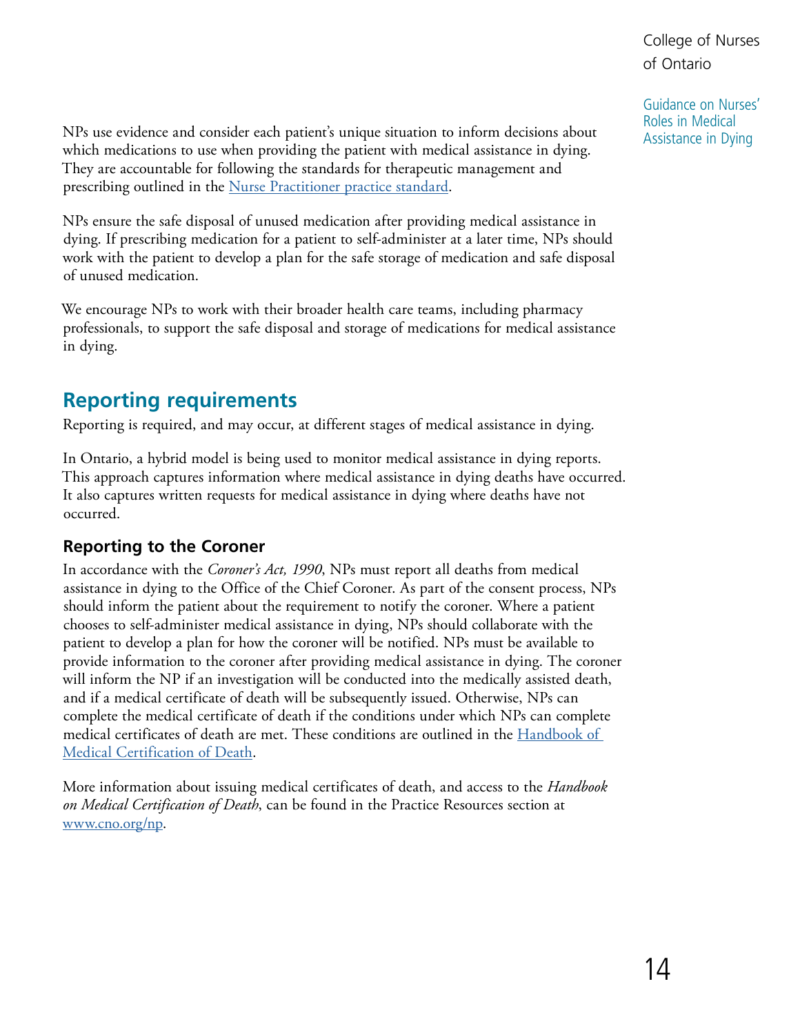Guidance on Nurses' Roles in Medical Assistance in Dying

<span id="page-13-0"></span>NPs use evidence and consider each patient's unique situation to inform decisions about which medications to use when providing the patient with medical assistance in dying. They are accountable for following the standards for therapeutic management and prescribing outlined in the [Nurse Practitioner practice standard](https://www.cno.org/globalassets/docs/prac/41038_strdrnec.pdf).

NPs ensure the safe disposal of unused medication after providing medical assistance in dying. If prescribing medication for a patient to self-administer at a later time, NPs should work with the patient to develop a plan for the safe storage of medication and safe disposal of unused medication.

We encourage NPs to work with their broader health care teams, including pharmacy professionals, to support the safe disposal and storage of medications for medical assistance in dying.

## **Reporting requirements**

Reporting is required, and may occur, at different stages of medical assistance in dying.

In Ontario, a hybrid model is being used to monitor medical assistance in dying reports. This approach captures information where medical assistance in dying deaths have occurred. It also captures written requests for medical assistance in dying where deaths have not occurred.

#### **Reporting to the Coroner**

In accordance with the *Coroner's Act, 1990*, NPs must report all deaths from medical assistance in dying to the Office of the Chief Coroner. As part of the consent process, NPs should inform the patient about the requirement to notify the coroner. Where a patient chooses to self-administer medical assistance in dying, NPs should collaborate with the patient to develop a plan for how the coroner will be notified. NPs must be available to provide information to the coroner after providing medical assistance in dying. The coroner will inform the NP if an investigation will be conducted into the medically assisted death, and if a medical certificate of death will be subsequently issued. Otherwise, NPs can complete the medical certificate of death if the conditions under which NPs can complete medical certificates of death are met. These conditions are outlined in the [Handbook of](https://www.publications.gov.on.ca/store/20170501121/Free_Download_Files/016600.pdf)  [Medical Certification of Death](https://www.publications.gov.on.ca/store/20170501121/Free_Download_Files/016600.pdf).

More information about issuing medical certificates of death, and access to the *Handbook on Medical Certification of Death*, can be found in the Practice Resources section at [www.cno.org/np.](http://www.cno.org/np)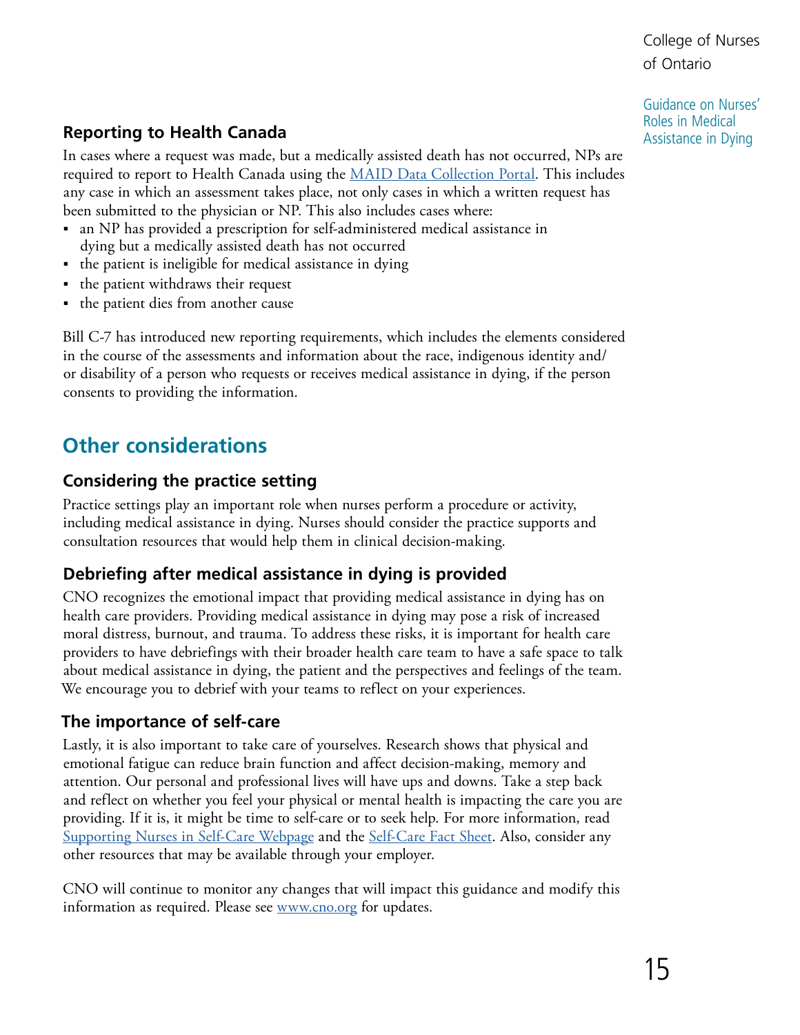Guidance on Nurses' Roles in Medical Assistance in Dying

## <span id="page-14-0"></span>**Reporting to Health Canada**

In cases where a request was made, but a medically assisted death has not occurred, NPs are required to report to Health Canada using the [MAID Data Collection Portal.](https://www.canada.ca/en/health-canada/services/medical-assistance-dying/guidance-reporting-summary.html) This includes any case in which an assessment takes place, not only cases in which a written request has been submitted to the physician or NP. This also includes cases where:

- an NP has provided a prescription for self-administered medical assistance in dying but a medically assisted death has not occurred
- the patient is ineligible for medical assistance in dying
- the patient withdraws their request
- the patient dies from another cause

Bill C-7 has introduced new reporting requirements, which includes the elements considered in the course of the assessments and information about the race, indigenous identity and/ or disability of a person who requests or receives medical assistance in dying, if the person consents to providing the information.

# **Other considerations**

## **Considering the practice setting**

Practice settings play an important role when nurses perform a procedure or activity, including medical assistance in dying. Nurses should consider the practice supports and consultation resources that would help them in clinical decision-making.

## **Debriefing after medical assistance in dying is provided**

CNO recognizes the emotional impact that providing medical assistance in dying has on health care providers. Providing medical assistance in dying may pose a risk of increased moral distress, burnout, and trauma. To address these risks, it is important for health care providers to have debriefings with their broader health care team to have a safe space to talk about medical assistance in dying, the patient and the perspectives and feelings of the team. We encourage you to debrief with your teams to reflect on your experiences.

## **The importance of self-care**

Lastly, it is also important to take care of yourselves. Research shows that physical and emotional fatigue can reduce brain function and affect decision-making, memory and attention. Our personal and professional lives will have ups and downs. Take a step back and reflect on whether you feel your physical or mental health is impacting the care you are providing. If it is, it might be time to self-care or to seek help. For more information, read [Supporting Nurses in Self-Care Webpage](https://www.cno.org/en/protect-public/employer-resources/employers-toolkit-sexual-abuse-prevention/supporting-nurses-in-self-care/) and the [Self-Care Fact Sheet.](https://www.cno.org/globalassets/4-learnaboutstandardsandguidelines/prac/learn/sap/sexual-abuse-self-care-en.pdf) Also, consider any other resources that may be available through your employer.

CNO will continue to monitor any changes that will impact this guidance and modify this information as required. Please see [www.cno.org](http://www.cno.org) for updates.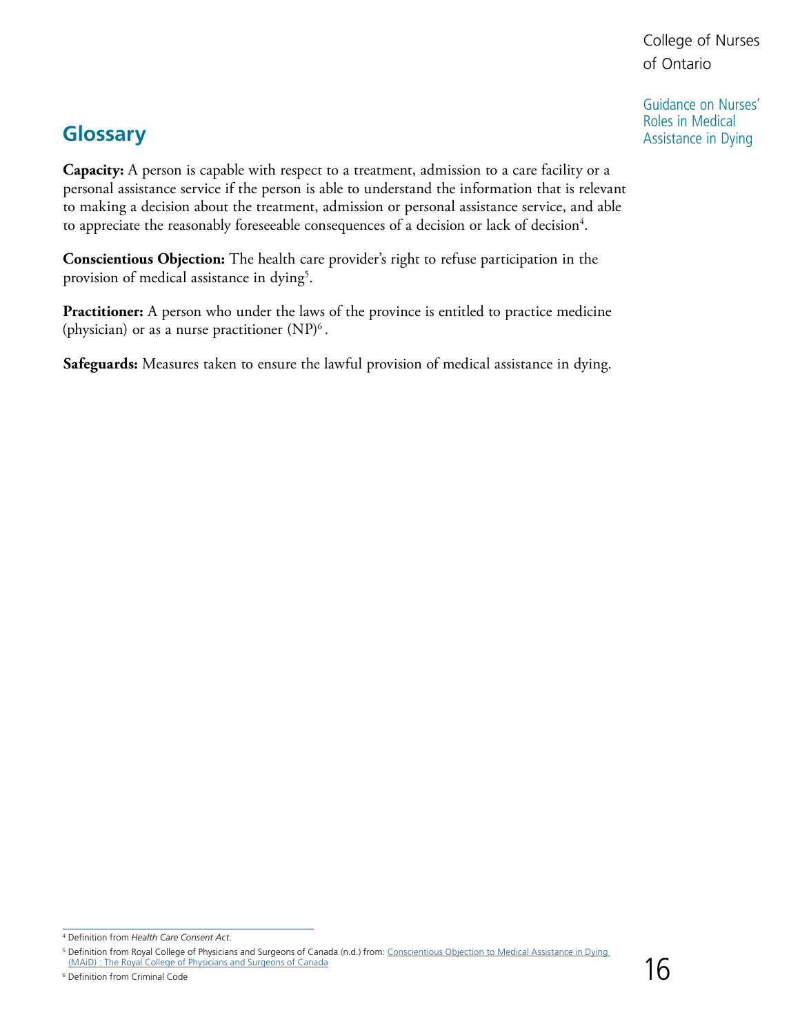Guidance on Nurses' Roles in Medical Assistance in Dying

## <span id="page-15-0"></span>**Glossary**

**Capacity:** A person is capable with respect to a treatment, admission to a care facility or a personal assistance service if the person is able to understand the information that is relevant to making a decision about the treatment, admission or personal assistance service, and able to appreciate the reasonably foreseeable consequences of a decision or lack of decision<sup>4</sup>.

**Conscientious Objection:** The health care provider's right to refuse participation in the provision of medical assistance in dying<sup>5</sup>.

**Practitioner:** A person who under the laws of the province is entitled to practice medicine (physician) or as a nurse practitioner  $(NP)^6$ .

**Safeguards:** Measures taken to ensure the lawful provision of medical assistance in dying.

<sup>4</sup> Definition from *Health Care Consent Act*.

<sup>&</sup>lt;sup>5</sup> Definition from Royal College of Physicians and Surgeons of Canada (n.d.) from: <u>Conscientious Objection to Medical Assistance in Dying</u>  [\(MAiD\) : The Royal College of Physicians and Surgeons of Canada](https://www.royalcollege.ca/rcsite/bioethics/cases/section-5/conscientious-objection-medical-assistance-e) Definition from Criminal Code 16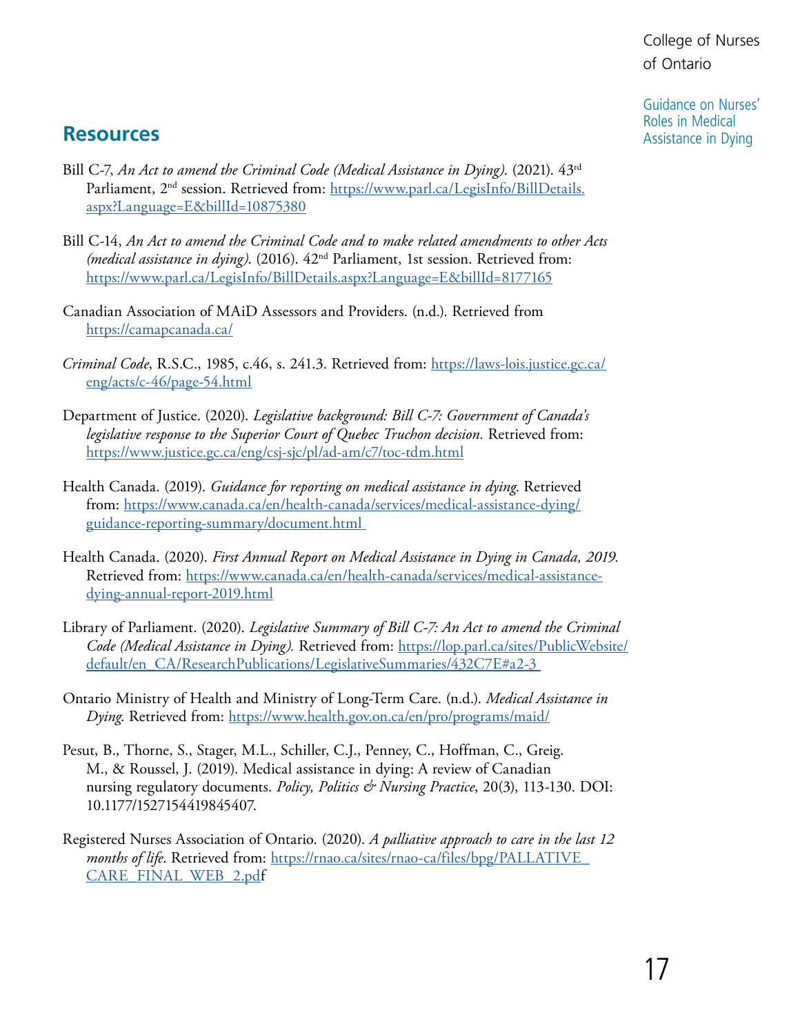Guidance on Nurses' Roles in Medical Assistance in Dying

## <span id="page-16-0"></span>**Resources**

- Bill C-7, *An Act to amend the Criminal Code (Medical Assistance in Dying)*. (2021). 43rd Parliament, 2<sup>nd</sup> session. Retrieved from: https://www.parl.ca/LegisInfo/BillDetails. [aspx?Language=E&billId=10875380](https://www.parl.ca/LegisInfo/BillDetails.aspx?Language=E&billId=10875380)
- Bill C-14, *An Act to amend the Criminal Code and to make related amendments to other Acts (medical assistance in dying)*. (2016). 42nd Parliament, 1st session. Retrieved from: <https://www.parl.ca/LegisInfo/BillDetails.aspx?Language=E&billId=8177165>
- Canadian Association of MAiD Assessors and Providers. (n.d.). Retrieved from <https://camapcanada.ca/>
- *Criminal Code*, R.S.C., 1985, c.46, s. 241.3. Retrieved from: [https://laws-lois.justice.gc.ca/](https://laws-lois.justice.gc.ca/eng/acts/c-46/page-54.html)  [eng/acts/c-46/page-54.html](https://laws-lois.justice.gc.ca/eng/acts/c-46/page-54.html)
- Department of Justice. (2020). *Legislative background: Bill C-7: Government of Canada's legislative response to the Superior Court of Quebec Truchon decision.* Retrieved from: <https://www.justice.gc.ca/eng/csj-sjc/pl/ad-am/c7/toc-tdm.html>
- Health Canada. (2019). *Guidance for reporting on medical assistance in dying*. Retrieved from: [https://www.canada.ca/en/health-canada/services/medical-assistance-dying/](https://www.canada.ca/en/health-canada/services/medical-assistance-dying/guidance-reporting-summary/document.html )  [guidance-reporting-summary/document.html](https://www.canada.ca/en/health-canada/services/medical-assistance-dying/guidance-reporting-summary/document.html )
- Health Canada. (2020). *First Annual Report on Medical Assistance in Dying in Canada, 2019.*  Retrieved from: [https://www.canada.ca/en/health-canada/services/medical-assistance](https://www.canada.ca/en/health-canada/services/medical-assistance-dying-annual-report-2019.html)[dying-annual-report-2019.html](https://www.canada.ca/en/health-canada/services/medical-assistance-dying-annual-report-2019.html)
- Library of Parliament. (2020). *Legislative Summary of Bill C-7: An Act to amend the Criminal Code (Medical Assistance in Dying).* Retrieved from: [https://lop.parl.ca/sites/PublicWebsite/](https://lop.parl.ca/sites/PublicWebsite/default/en_CA/ResearchPublications/LegislativeSummaries/432C7E#a2-3 )  [default/en\\_CA/ResearchPublications/LegislativeSummaries/432C7E#a2-3](https://lop.parl.ca/sites/PublicWebsite/default/en_CA/ResearchPublications/LegislativeSummaries/432C7E#a2-3 )
- Ontario Ministry of Health and Ministry of Long-Term Care. (n.d.). *Medical Assistance in Dying*. Retrieved from: <https://www.health.gov.on.ca/en/pro/programs/maid/>
- Pesut, B., Thorne, S., Stager, M.L., Schiller, C.J., Penney, C., Hoffman, C., Greig. M., & Roussel, J. (2019). Medical assistance in dying: A review of Canadian nursing regulatory documents. *Policy, Politics & Nursing Practice*, 20(3), 113-130. DOI: 10.1177/1527154419845407.
- Registered Nurses Association of Ontario. (2020). *A palliative approach to care in the last 12 months of life*. Retrieved from: https://rnao.ca/sites/rnao-ca/files/bpg/PALLATIVE [CARE\\_FINAL\\_WEB\\_2.pdf](https://rnao.ca/sites/rnao-ca/files/bpg/PALLATIVE_CARE_FINAL_WEB_2.pdf)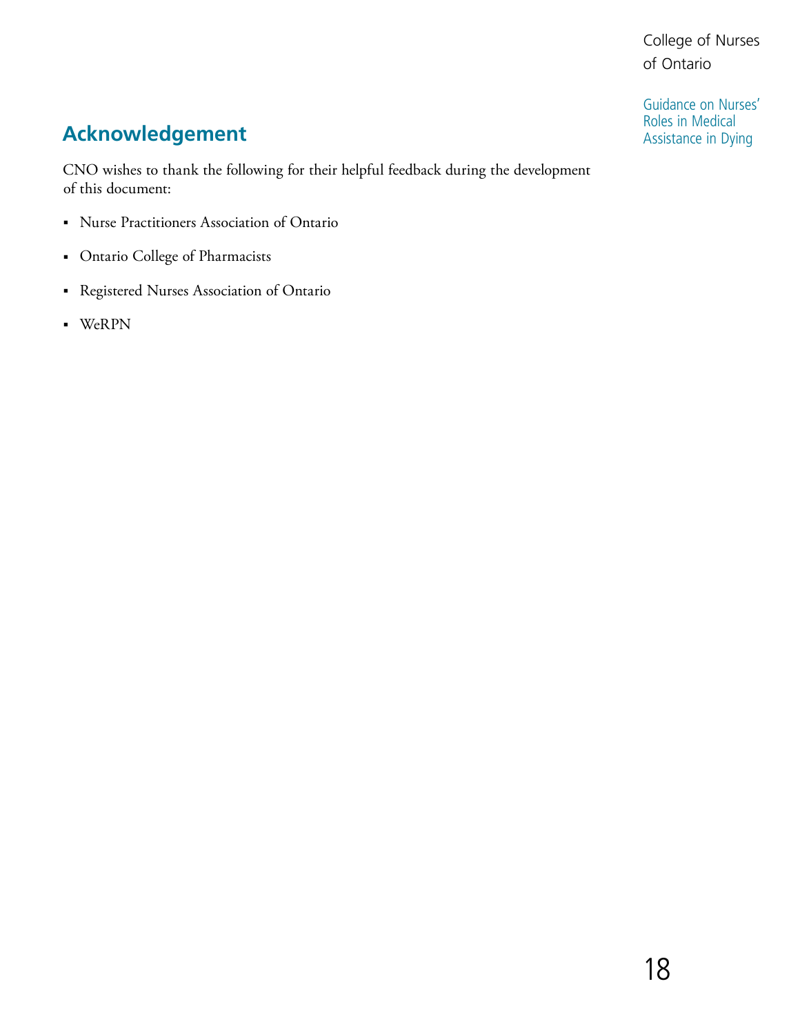Guidance on Nurses' Roles in Medical Assistance in Dying

# <span id="page-17-0"></span>**Acknowledgement**

CNO wishes to thank the following for their helpful feedback during the development of this document:

- ■ Nurse Practitioners Association of Ontario
- ■ Ontario College of Pharmacists
- ■ Registered Nurses Association of Ontario
- ■ WeRPN